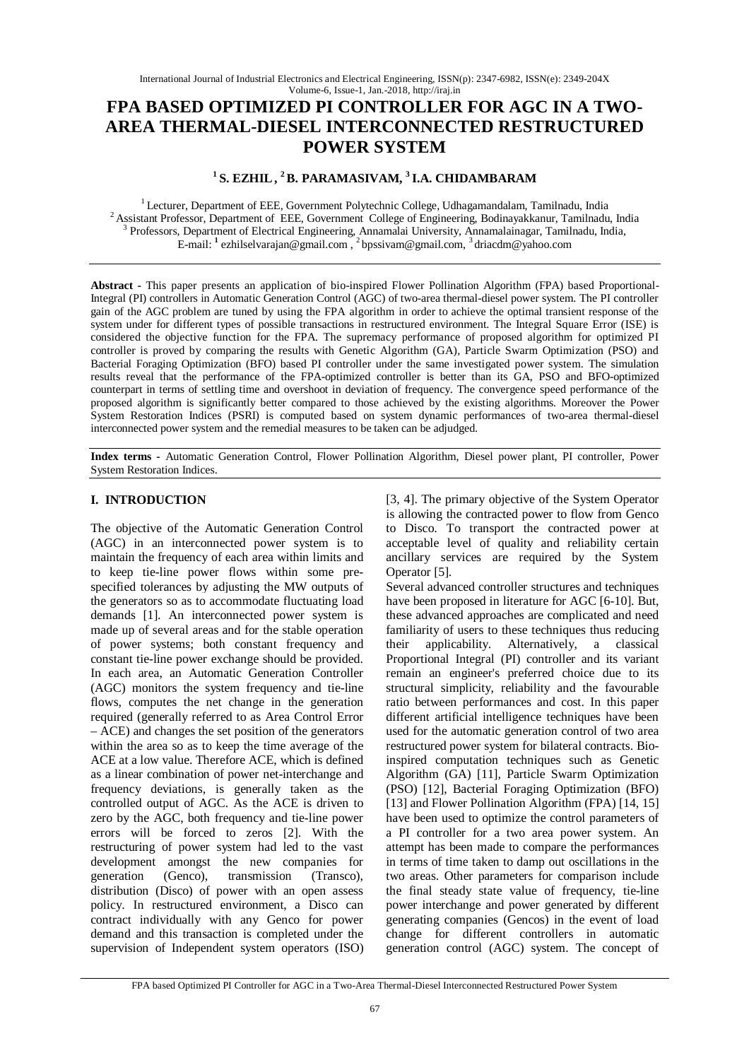# **FPA BASED OPTIMIZED PI CONTROLLER FOR AGC IN A TWO-AREA THERMAL-DIESEL INTERCONNECTED RESTRUCTURED POWER SYSTEM**

## **<sup>1</sup>S. EZHIL, <sup>2</sup>B. PARAMASIVAM, <sup>3</sup>I.A. CHIDAMBARAM**

<sup>1</sup> Lecturer, Department of EEE, Government Polytechnic College, Udhagamandalam, Tamilnadu, India <sup>2</sup> Assistant Professor, Department of EEE, Government College of Engineering, Bodinayakkanur, Tamilnadu, India <sup>3</sup> Professors, Department of Electrical Engineering, Annamalai University, Annamalainagar, Tamilnadu, India, E-mail: **<sup>1</sup>** ezhilselvarajan@gmail.com , <sup>2</sup>bpssivam@gmail.com, <sup>3</sup>driacdm@yahoo.com

**Abstract -** This paper presents an application of bio-inspired Flower Pollination Algorithm (FPA) based Proportional-Integral (PI) controllers in Automatic Generation Control (AGC) of two-area thermal-diesel power system. The PI controller gain of the AGC problem are tuned by using the FPA algorithm in order to achieve the optimal transient response of the system under for different types of possible transactions in restructured environment. The Integral Square Error (ISE) is considered the objective function for the FPA. The supremacy performance of proposed algorithm for optimized PI controller is proved by comparing the results with Genetic Algorithm (GA), Particle Swarm Optimization (PSO) and Bacterial Foraging Optimization (BFO) based PI controller under the same investigated power system. The simulation results reveal that the performance of the FPA-optimized controller is better than its GA, PSO and BFO-optimized counterpart in terms of settling time and overshoot in deviation of frequency. The convergence speed performance of the proposed algorithm is significantly better compared to those achieved by the existing algorithms. Moreover the Power System Restoration Indices (PSRI) is computed based on system dynamic performances of two-area thermal-diesel interconnected power system and the remedial measures to be taken can be adjudged.

**Index terms -** Automatic Generation Control, Flower Pollination Algorithm, Diesel power plant, PI controller, Power System Restoration Indices.

## **I. INTRODUCTION**

The objective of the Automatic Generation Control (AGC) in an interconnected power system is to maintain the frequency of each area within limits and to keep tie-line power flows within some prespecified tolerances by adjusting the MW outputs of the generators so as to accommodate fluctuating load demands [1]. An interconnected power system is made up of several areas and for the stable operation of power systems; both constant frequency and constant tie-line power exchange should be provided. In each area, an Automatic Generation Controller (AGC) monitors the system frequency and tie-line flows, computes the net change in the generation required (generally referred to as Area Control Error – ACE) and changes the set position of the generators within the area so as to keep the time average of the ACE at a low value. Therefore ACE, which is defined as a linear combination of power net-interchange and frequency deviations, is generally taken as the controlled output of AGC. As the ACE is driven to zero by the AGC, both frequency and tie-line power errors will be forced to zeros [2]. With the restructuring of power system had led to the vast development amongst the new companies for generation (Genco), transmission (Transco), distribution (Disco) of power with an open assess policy. In restructured environment, a Disco can contract individually with any Genco for power demand and this transaction is completed under the supervision of Independent system operators (ISO)

[3, 4]. The primary objective of the System Operator is allowing the contracted power to flow from Genco to Disco. To transport the contracted power at acceptable level of quality and reliability certain ancillary services are required by the System Operator [5].

Several advanced controller structures and techniques have been proposed in literature for AGC [6-10]. But, these advanced approaches are complicated and need familiarity of users to these techniques thus reducing their applicability. Alternatively, a classical Proportional Integral (PI) controller and its variant remain an engineer's preferred choice due to its structural simplicity, reliability and the favourable ratio between performances and cost. In this paper different artificial intelligence techniques have been used for the automatic generation control of two area restructured power system for bilateral contracts. Bioinspired computation techniques such as Genetic Algorithm (GA) [11], Particle Swarm Optimization (PSO) [12], Bacterial Foraging Optimization (BFO) [13] and Flower Pollination Algorithm (FPA) [14, 15] have been used to optimize the control parameters of a PI controller for a two area power system. An attempt has been made to compare the performances in terms of time taken to damp out oscillations in the two areas. Other parameters for comparison include the final steady state value of frequency, tie-line power interchange and power generated by different generating companies (Gencos) in the event of load change for different controllers in automatic generation control (AGC) system. The concept of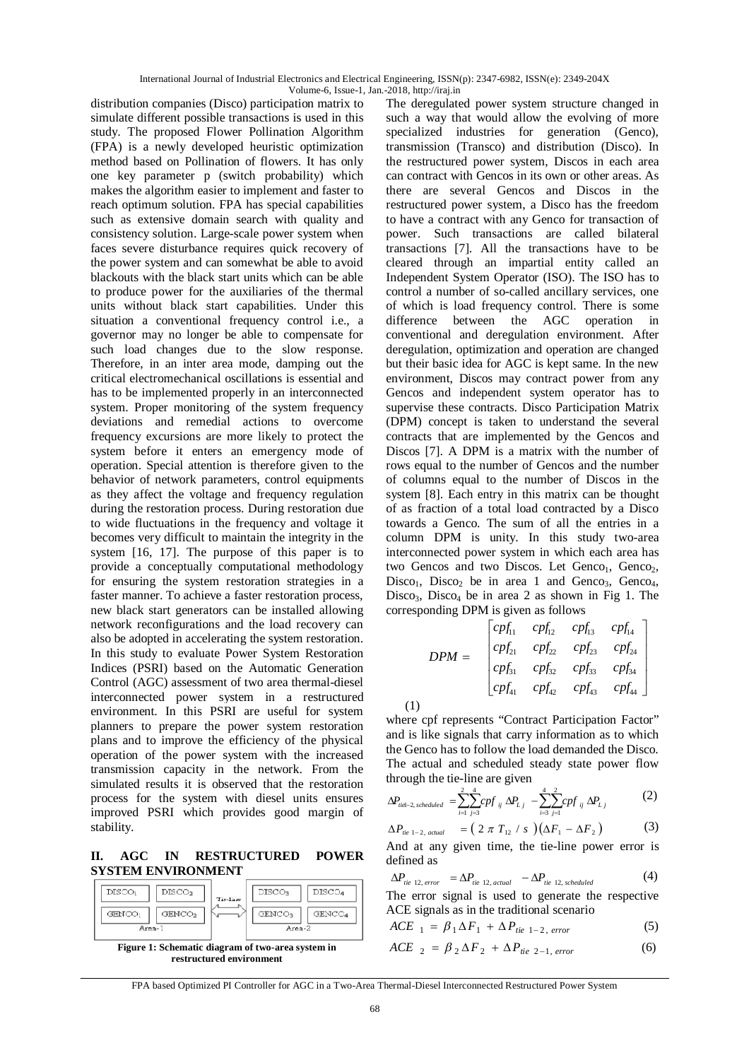International Journal of Industrial Electronics and Electrical Engineering, ISSN(p): 2347-6982, ISSN(e): 2349-204X Volume-6, Issue-1, Jan.-2018, http://iraj.in

distribution companies (Disco) participation matrix to simulate different possible transactions is used in this study. The proposed Flower Pollination Algorithm (FPA) is a newly developed heuristic optimization method based on Pollination of flowers. It has only one key parameter p (switch probability) which makes the algorithm easier to implement and faster to reach optimum solution. FPA has special capabilities such as extensive domain search with quality and consistency solution. Large-scale power system when faces severe disturbance requires quick recovery of the power system and can somewhat be able to avoid blackouts with the black start units which can be able to produce power for the auxiliaries of the thermal units without black start capabilities. Under this situation a conventional frequency control i.e., a governor may no longer be able to compensate for such load changes due to the slow response. Therefore, in an inter area mode, damping out the critical electromechanical oscillations is essential and has to be implemented properly in an interconnected system. Proper monitoring of the system frequency deviations and remedial actions to overcome frequency excursions are more likely to protect the system before it enters an emergency mode of operation. Special attention is therefore given to the behavior of network parameters, control equipments as they affect the voltage and frequency regulation during the restoration process. During restoration due to wide fluctuations in the frequency and voltage it becomes very difficult to maintain the integrity in the system [16, 17]. The purpose of this paper is to provide a conceptually computational methodology for ensuring the system restoration strategies in a faster manner. To achieve a faster restoration process, new black start generators can be installed allowing network reconfigurations and the load recovery can also be adopted in accelerating the system restoration. In this study to evaluate Power System Restoration Indices (PSRI) based on the Automatic Generation Control (AGC) assessment of two area thermal-diesel interconnected power system in a restructured environment. In this PSRI are useful for system planners to prepare the power system restoration plans and to improve the efficiency of the physical operation of the power system with the increased transmission capacity in the network. From the simulated results it is observed that the restoration process for the system with diesel units ensures improved PSRI which provides good margin of stability.

**II. AGC IN RESTRUCTURED POWER SYSTEM ENVIRONMENT**

| GENCO <sub>1</sub> | GENCO <sub>2</sub> | GENCO <sub>3</sub> | GENCO <sub>4</sub> |
|--------------------|--------------------|--------------------|--------------------|
| Area-1             |                    | $Area-2$           |                    |

The deregulated power system structure changed in such a way that would allow the evolving of more specialized industries for generation (Genco), transmission (Transco) and distribution (Disco). In the restructured power system, Discos in each area can contract with Gencos in its own or other areas. As there are several Gencos and Discos in the restructured power system, a Disco has the freedom to have a contract with any Genco for transaction of power. Such transactions are called bilateral transactions [7]. All the transactions have to be cleared through an impartial entity called an Independent System Operator (ISO). The ISO has to control a number of so-called ancillary services, one of which is load frequency control. There is some difference between the AGC operation in conventional and deregulation environment. After deregulation, optimization and operation are changed but their basic idea for AGC is kept same. In the new environment, Discos may contract power from any Gencos and independent system operator has to supervise these contracts. Disco Participation Matrix (DPM) concept is taken to understand the several contracts that are implemented by the Gencos and Discos [7]. A DPM is a matrix with the number of rows equal to the number of Gencos and the number of columns equal to the number of Discos in the system [8]. Each entry in this matrix can be thought of as fraction of a total load contracted by a Disco towards a Genco. The sum of all the entries in a column DPM is unity. In this study two-area interconnected power system in which each area has two Gencos and two Discos. Let Genco<sub>1</sub>, Genco<sub>2</sub>,  $Disco_1$ ,  $Disco_2$  be in area 1 and Genco<sub>3</sub>, Genco<sub>4</sub>, Disco<sub>3</sub>, Disco<sub>4</sub> be in area 2 as shown in Fig 1. The corresponding DPM is given as follows

$$
DPM = \begin{bmatrix} cpf_{11} & cpf_{12} & cpf_{13} & cpf_{14} \\ cpf_{21} & cpf_{22} & cpf_{23} & cpf_{24} \\ cpf_{31} & cpf_{32} & cpf_{33} & cpf_{34} \\ cpf_{41} & cpf_{42} & cpf_{43} & cpf_{44} \end{bmatrix}
$$

where cpf represents "Contract Participation Factor" and is like signals that carry information as to which the Genco has to follow the load demanded the Disco. The actual and scheduled steady state power flow through the tie-line are given

$$
\Delta P_{\text{tid-2, scheduled}} = \sum_{i=1}^{2} \sum_{j=3}^{4} cpf_{ij} \Delta P_{Lj} - \sum_{i=3}^{4} \sum_{j=1}^{2} cpf_{ij} \Delta P_{Lj}
$$
(2)

$$
\Delta P_{\text{tie 1-2, actual}} = (2 \pi T_{12} / s) (\Delta F_1 - \Delta F_2)
$$
 (3)

And at any given time, the tie-line power error is defined as

$$
\Delta P_{\text{tie 12, error}} = \Delta P_{\text{tie 12, actual}} - \Delta P_{\text{tie 12, scheduled}} \tag{4}
$$

The error signal is used to generate the respective ACE signals as in the traditional scenario

$$
ACE_{1} = \beta_1 \Delta F_1 + \Delta P_{tie 1-2, error}
$$
 (5)

$$
ACE_{2} = \beta_{2} \Delta F_{2} + \Delta P_{tie2-1, error}
$$
 (6)

FPA based Optimized PI Controller for AGC in a Two-Area Thermal-Diesel Interconnected Restructured Power System

(1)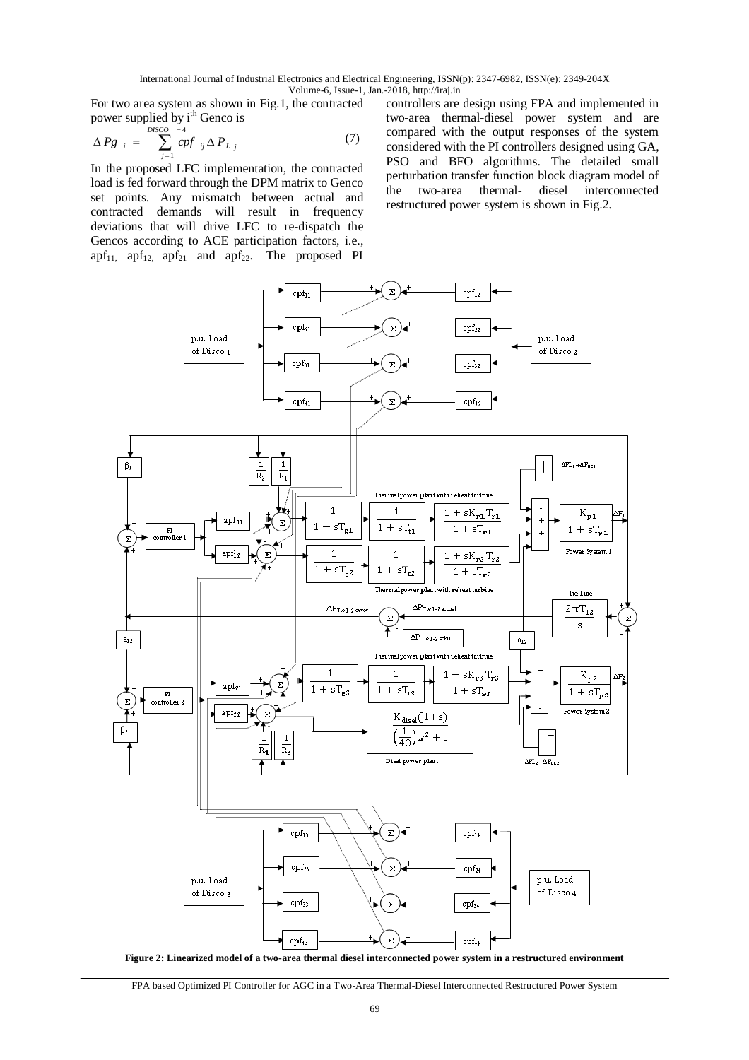International Journal of Industrial Electronics and Electrical Engineering, ISSN(p): 2347-6982, ISSN(e): 2349-204X Volume-6, Issue-1, Jan.-2018, http://iraj.in

For two area system as shown in Fig.1, the contracted power supplied by i<sup>th</sup> Genco is

$$
\Delta P g_{i} = \sum_{j=1}^{DISCO} \frac{=4}{cpf_{ij} \Delta P_{Lj}}
$$
 (7)

In the proposed LFC implementation, the contracted load is fed forward through the DPM matrix to Genco set points. Any mismatch between actual and contracted demands will result in frequency deviations that will drive LFC to re-dispatch the Gencos according to ACE participation factors, i.e.,  $apf_{11}$ ,  $apf_{12}$ ,  $apf_{21}$  and  $apf_{22}$ . The proposed PI controllers are design using FPA and implemented in two-area thermal-diesel power system and are compared with the output responses of the system considered with the PI controllers designed using GA, PSO and BFO algorithms. The detailed small perturbation transfer function block diagram model of the two-area thermal- diesel interconnected restructured power system is shown in Fig.2.



**Figure 2: Linearized model of a two-area thermal diesel interconnected power system in a restructured environment**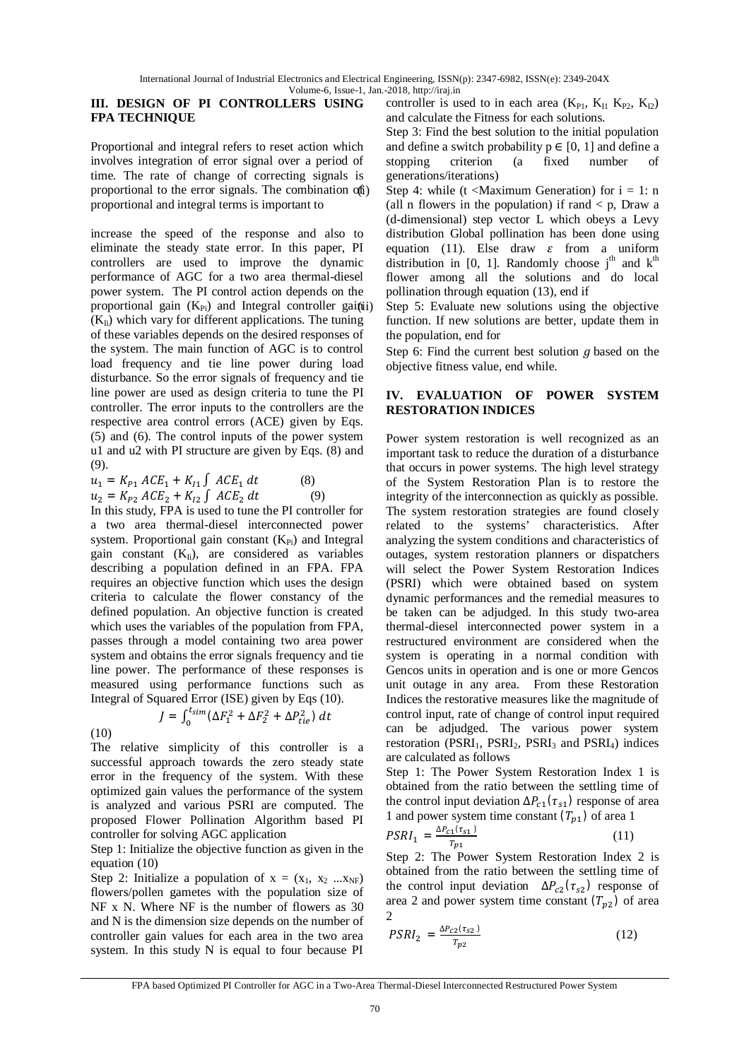## **III. DESIGN OF PI CONTROLLERS USING FPA TECHNIQUE**

Proportional and integral refers to reset action which involves integration of error signal over a period of time. The rate of change of correcting signals is proportional to the error signals. The combination of proportional and integral terms is important to

increase the speed of the response and also to eliminate the steady state error. In this paper, PI controllers are used to improve the dynamic performance of AGC for a two area thermal-diesel power system. The PI control action depends on the proportional gain  $(K_{Pi})$  and Integral controller gainari  $(K_{\text{I}i})$  which vary for different applications. The tuning of these variables depends on the desired responses of the system. The main function of AGC is to control load frequency and tie line power during load disturbance. So the error signals of frequency and tie line power are used as design criteria to tune the PI controller. The error inputs to the controllers are the respective area control errors (ACE) given by Eqs. (5) and (6). The control inputs of the power system u1 and u2 with PI structure are given by Eqs. (8) and (9).

 $u_1 = K_{P1} \, ACE_1 + K_{I1} \int ACE_1 \, dt$  (8)  $u_2 = K_{P2} \, ACE_2 + K_{I2} \int ACE_2 \, dt$  (9)

In this study, FPA is used to tune the PI controller for a two area thermal-diesel interconnected power system. Proportional gain constant  $(K_{Pi})$  and Integral gain constant  $(K_{\text{Ii}})$ , are considered as variables describing a population defined in an FPA. FPA requires an objective function which uses the design criteria to calculate the flower constancy of the defined population. An objective function is created which uses the variables of the population from FPA, passes through a model containing two area power system and obtains the error signals frequency and tie line power. The performance of these responses is measured using performance functions such as Integral of Squared Error (ISE) given by Eqs (10).

 $J = \int_0^{t_{sim}} (\Delta F_1^2)$ (10)

The relative simplicity of this controller is a successful approach towards the zero steady state error in the frequency of the system. With these optimized gain values the performance of the system is analyzed and various PSRI are computed. The proposed Flower Pollination Algorithm based PI controller for solving AGC application

 $\int_0^{t_{sim}} (\Delta F_1^2 + \Delta F_2^2 + \Delta P_{tie}^2) dt$ 

Step 1: Initialize the objective function as given in the equation (10)

Step 2: Initialize a population of  $x = (x_1, x_2 ... x_{NF})$ flowers/pollen gametes with the population size of NF x N. Where NF is the number of flowers as 30 and N is the dimension size depends on the number of controller gain values for each area in the two area system. In this study N is equal to four because PI controller is used to in each area  $(K_{P1}, K_{I1} K_{P2}, K_{I2})$ and calculate the Fitness for each solutions.

Step 3: Find the best solution to the initial population and define a switch probability  $p \in [0, 1]$  and define a stopping criterion (a fixed number of generations/iterations)

Step 4: while (t <Maximum Generation) for  $i = 1$ : n (all n flowers in the population) if rand  $\lt p$ . Draw a (d-dimensional) step vector L which obeys a Levy distribution Global pollination has been done using equation (11). Else draw  $\varepsilon$  from a uniform distribution in [0, 1]. Randomly choose  $j<sup>th</sup>$  and  $k<sup>th</sup>$ flower among all the solutions and do local pollination through equation (13), end if

Step 5: Evaluate new solutions using the objective function. If new solutions are better, update them in the population, end for

Step 6: Find the current best solution  $q$  based on the objective fitness value, end while.

## **IV. EVALUATION OF POWER SYSTEM RESTORATION INDICES**

Power system restoration is well recognized as an important task to reduce the duration of a disturbance that occurs in power systems. The high level strategy of the System Restoration Plan is to restore the integrity of the interconnection as quickly as possible. The system restoration strategies are found closely related to the systems' characteristics. After analyzing the system conditions and characteristics of outages, system restoration planners or dispatchers will select the Power System Restoration Indices (PSRI) which were obtained based on system dynamic performances and the remedial measures to be taken can be adjudged. In this study two-area thermal-diesel interconnected power system in a restructured environment are considered when the system is operating in a normal condition with Gencos units in operation and is one or more Gencos unit outage in any area. From these Restoration Indices the restorative measures like the magnitude of control input, rate of change of control input required can be adjudged. The various power system restoration ( $PSRI<sub>1</sub>$ ,  $PSRI<sub>2</sub>$ ,  $PSRI<sub>3</sub>$  and  $PSRI<sub>4</sub>$ ) indices are calculated as follows

Step 1: The Power System Restoration Index 1 is obtained from the ratio between the settling time of the control input deviation  $\Delta P_{c1}(\tau_{s1})$  response of area 1 and power system time constant  $(T_{p1})$  of area 1

$$
PSRI_1 = \frac{\Delta P_{c1}(\tau_{s1})}{T_{p1}}\tag{11}
$$

Step 2: The Power System Restoration Index 2 is obtained from the ratio between the settling time of the control input deviation  $\Delta P_{c2}(\tau_{s2})$  response of area 2 and power system time constant  $(T_{p2})$  of area 2

$$
PSRI_2 = \frac{\Delta P_{c2}(\tau_{s2})}{T_{p2}}
$$
 (12)

FPA based Optimized PI Controller for AGC in a Two-Area Thermal-Diesel Interconnected Restructured Power System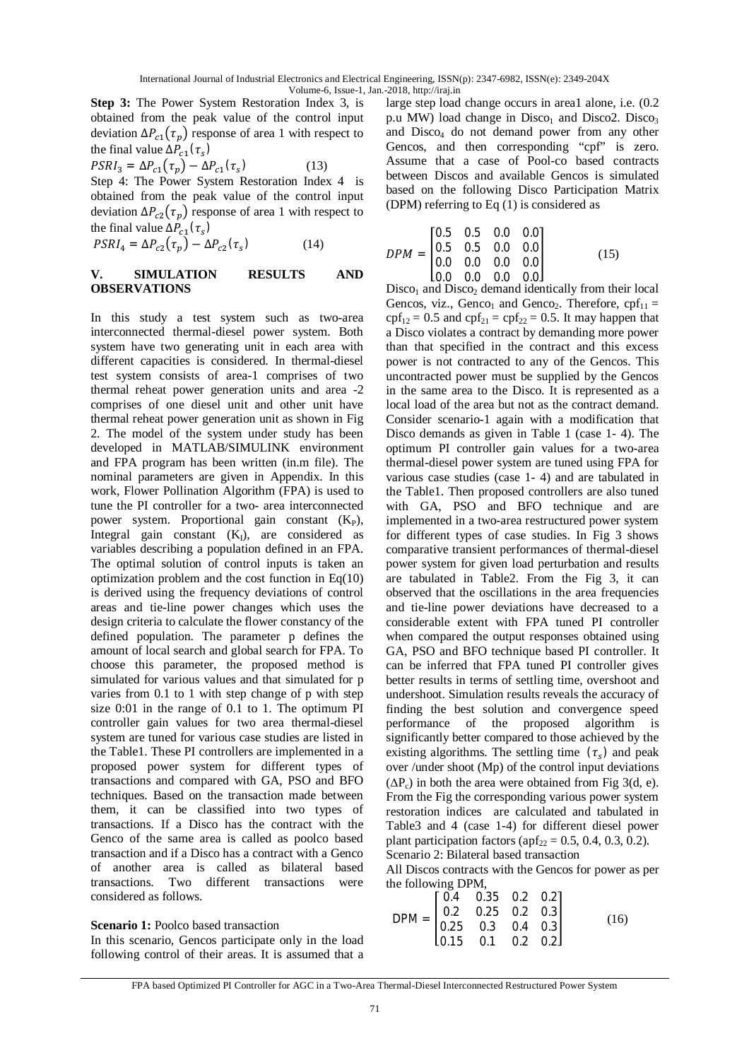**Step 3:** The Power System Restoration Index 3, is obtained from the peak value of the control input deviation  $\Delta P_{c1}(\tau_p)$  response of area 1 with respect to the final value  $\Delta P_{c1}(\tau_s)$ 

$$
PSRI_3 = \Delta P_{c1}(\tau_p) - \Delta P_{c1}(\tau_s)
$$
 (13)

Step 4: The Power System Restoration Index 4 is obtained from the peak value of the control input deviation  $\Delta P_{c2}(\tau_p)$  response of area 1 with respect to the final value  $\Delta P_{c1}(\tau_s)$ 

$$
PSRI_4 = \Delta P_{c2}(\tau_p) - \Delta P_{c2}(\tau_s)
$$
 (14)

### **V. SIMULATION RESULTS AND OBSERVATIONS**

In this study a test system such as two-area interconnected thermal-diesel power system. Both system have two generating unit in each area with different capacities is considered. In thermal-diesel test system consists of area-1 comprises of two thermal reheat power generation units and area -2 comprises of one diesel unit and other unit have thermal reheat power generation unit as shown in Fig 2. The model of the system under study has been developed in MATLAB/SIMULINK environment and FPA program has been written (in.m file). The nominal parameters are given in Appendix. In this work, Flower Pollination Algorithm (FPA) is used to tune the PI controller for a two- area interconnected power system. Proportional gain constant  $(K_P)$ , Integral gain constant  $(K<sub>I</sub>)$ , are considered as variables describing a population defined in an FPA. The optimal solution of control inputs is taken an optimization problem and the cost function in Eq(10) is derived using the frequency deviations of control areas and tie-line power changes which uses the design criteria to calculate the flower constancy of the defined population. The parameter p defines the amount of local search and global search for FPA. To choose this parameter, the proposed method is simulated for various values and that simulated for p varies from 0.1 to 1 with step change of p with step size 0:01 in the range of 0.1 to 1. The optimum PI controller gain values for two area thermal-diesel system are tuned for various case studies are listed in the Table1. These PI controllers are implemented in a proposed power system for different types of transactions and compared with GA, PSO and BFO techniques. Based on the transaction made between them, it can be classified into two types of transactions. If a Disco has the contract with the Genco of the same area is called as poolco based transaction and if a Disco has a contract with a Genco of another area is called as bilateral based transactions. Two different transactions were considered as follows.

#### **Scenario 1:** Poolco based transaction

In this scenario, Gencos participate only in the load following control of their areas. It is assumed that a large step load change occurs in area1 alone, i.e. (0.2 p.u MW) load change in  $Disco<sub>1</sub>$  and  $Disco<sub>2</sub>$ . Disco<sub>3</sub> and Disco<sub>4</sub> do not demand power from any other Gencos, and then corresponding "cpf" is zero. Assume that a case of Pool-co based contracts between Discos and available Gencos is simulated based on the following Disco Participation Matrix (DPM) referring to Eq (1) is considered as

൦ = ܯܲܦ 0.5 0.5 0.0 0.0 0.5 0.5 0.0 0.0 0.0 0.0 0.0 0.0 0.0 0.0 0.0 0.0 ൪ (15)

 $Disco<sub>1</sub>$  and  $Disco<sub>2</sub>$  demand identically from their local Gencos, viz., Genco<sub>1</sub> and Genco<sub>2</sub>. Therefore,  $\text{cpf}_{11} =$  $\text{cpf}_{12} = 0.5$  and  $\text{cpf}_{21} = \text{cpf}_{22} = 0.5$ . It may happen that a Disco violates a contract by demanding more power than that specified in the contract and this excess power is not contracted to any of the Gencos. This uncontracted power must be supplied by the Gencos in the same area to the Disco. It is represented as a local load of the area but not as the contract demand. Consider scenario-1 again with a modification that Disco demands as given in Table 1 (case 1- 4). The optimum PI controller gain values for a two-area thermal-diesel power system are tuned using FPA for various case studies (case 1- 4) and are tabulated in the Table1. Then proposed controllers are also tuned with GA, PSO and BFO technique and are implemented in a two-area restructured power system for different types of case studies. In Fig 3 shows comparative transient performances of thermal-diesel power system for given load perturbation and results are tabulated in Table2. From the Fig 3, it can observed that the oscillations in the area frequencies and tie-line power deviations have decreased to a considerable extent with FPA tuned PI controller when compared the output responses obtained using GA, PSO and BFO technique based PI controller. It can be inferred that FPA tuned PI controller gives better results in terms of settling time, overshoot and undershoot. Simulation results reveals the accuracy of finding the best solution and convergence speed performance of the proposed algorithm is significantly better compared to those achieved by the existing algorithms. The settling time  $(\tau_s)$  and peak over /under shoot (Mp) of the control input deviations  $(\Delta P_c)$  in both the area were obtained from Fig 3(d, e). From the Fig the corresponding various power system restoration indices are calculated and tabulated in Table3 and 4 (case 1-4) for different diesel power plant participation factors ( $\text{apf}_{22} = 0.5, 0.4, 0.3, 0.2$ ). Scenario 2: Bilateral based transaction

All Discos contracts with the Gencos for power as per the following DPM,

| $\text{DPM} = \begin{bmatrix} 0.4 & 0.35 & 0.2 & 0.2 \\ 0.2 & 0.25 & 0.2 & 0.3 \\ 0.25 & 0.3 & 0.4 & 0.3 \\ 0.15 & 0.1 & 0.2 & 0.2 \end{bmatrix}$ |  |  |      |
|---------------------------------------------------------------------------------------------------------------------------------------------------|--|--|------|
|                                                                                                                                                   |  |  | (16) |
|                                                                                                                                                   |  |  |      |

FPA based Optimized PI Controller for AGC in a Two-Area Thermal-Diesel Interconnected Restructured Power System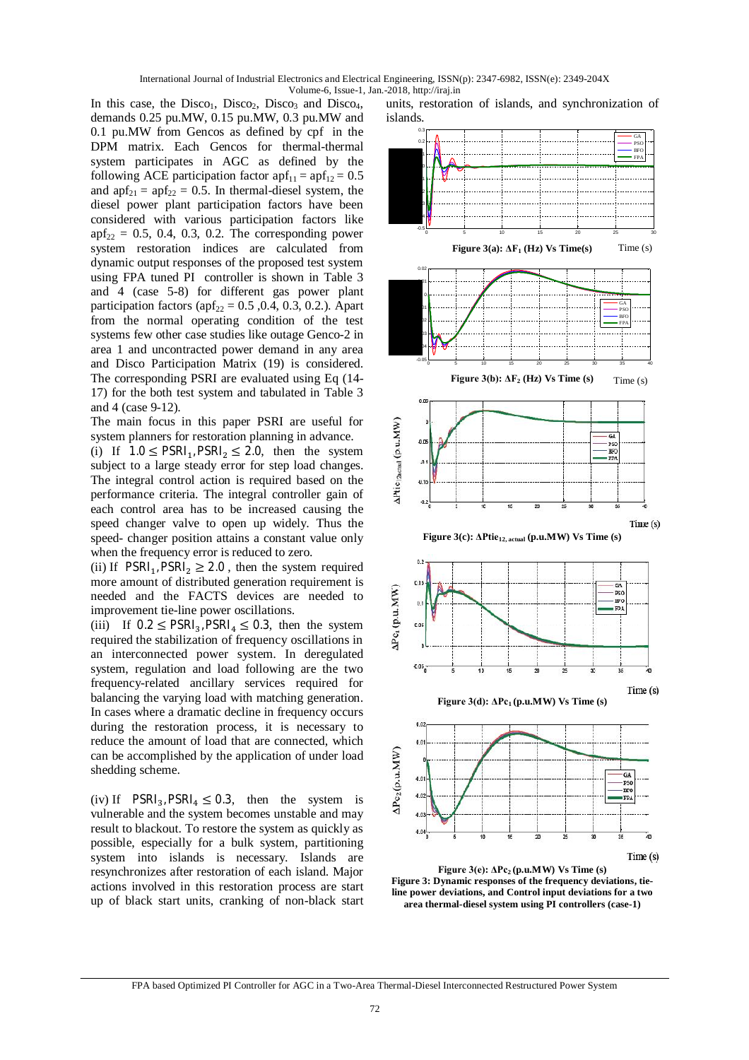In this case, the Disco<sub>1</sub>, Disco<sub>2</sub>, Disco<sub>3</sub> and Disco<sub>4</sub>, demands 0.25 pu.MW, 0.15 pu.MW, 0.3 pu.MW and 0.1 pu.MW from Gencos as defined by cpf in the DPM matrix. Each Gencos for thermal-thermal system participates in AGC as defined by the following ACE participation factor  $apf_{11} = apf_{12} = 0.5$ and  $\text{apf}_{21} = \text{apf}_{22} = 0.5$ . In thermal-diesel system, the diesel power plant participation factors have been considered with various participation factors like  $apf_{22} = 0.5, 0.4, 0.3, 0.2$ . The corresponding power system restoration indices are calculated from dynamic output responses of the proposed test system using FPA tuned PI controller is shown in Table 3 and 4 (case 5-8) for different gas power plant participation factors ( $apf_{22} = 0.5$ , 0.4, 0.3, 0.2.). Apart from the normal operating condition of the test systems few other case studies like outage Genco-2 in area 1 and uncontracted power demand in any area and Disco Participation Matrix (19) is considered. The corresponding PSRI are evaluated using Eq (14- 17) for the both test system and tabulated in Table 3 and 4 (case 9-12).

The main focus in this paper PSRI are useful for system planners for restoration planning in advance. (i) If  $1.0 \leq \text{PSRI}_{11}$ ,  $\text{PSRI}_{2} \leq 2.0$ , then the system subject to a large steady error for step load changes. The integral control action is required based on the performance criteria. The integral controller gain of each control area has to be increased causing the speed changer valve to open up widely. Thus the speed- changer position attains a constant value only when the frequency error is reduced to zero.

(ii) If  $PSRI_1$ ,  $PSRI_2 \geq 2.0$ , then the system required more amount of distributed generation requirement is needed and the FACTS devices are needed to improvement tie-line power oscillations.

(iii) If  $0.2 \leq \text{PSRI}_3$ ,  $\text{PSRI}_4 \leq 0.3$ , then the system required the stabilization of frequency oscillations in an interconnected power system. In deregulated system, regulation and load following are the two frequency-related ancillary services required for balancing the varying load with matching generation. In cases where a dramatic decline in frequency occurs during the restoration process, it is necessary to reduce the amount of load that are connected, which can be accomplished by the application of under load shedding scheme.

(iv) If  $PSRI_3$ ,  $PSRI_4 \leq 0.3$ , then the system is vulnerable and the system becomes unstable and may result to blackout. To restore the system as quickly as possible, especially for a bulk system, partitioning system into islands is necessary. Islands are resynchronizes after restoration of each island. Major actions involved in this restoration process are start up of black start units, cranking of non-black start

units, restoration of islands, and synchronization of islands.



**Figure 3(e): ΔPc2 (p.u.MW) Vs Time (s) Figure 3: Dynamic responses of the frequency deviations, tieline power deviations, and Control input deviations for a two area thermal-diesel system using PI controllers (case-1)**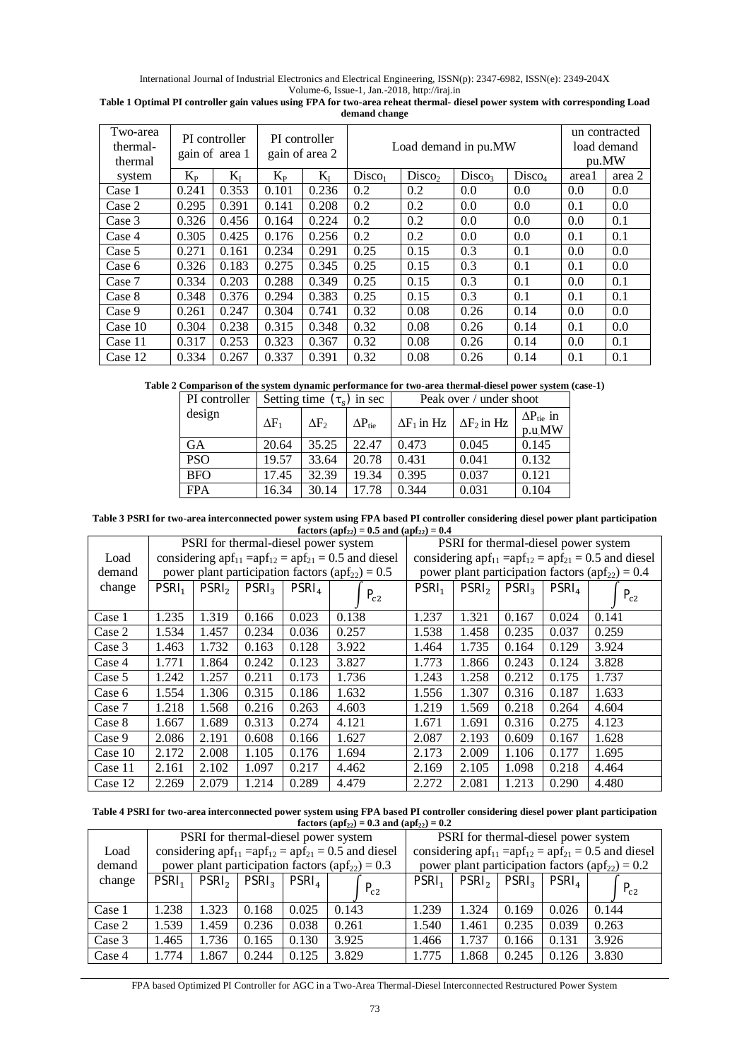International Journal of Industrial Electronics and Electrical Engineering, ISSN(p): 2347-6982, ISSN(e): 2349-204X Volume-6, Issue-1, Jan.-2018, http://iraj.in

| Two-area<br>thermal-<br>thermal |         | PI controller<br>gain of area 1 |         | PI controller<br>gain of area 2 | Load demand in pu.MW |                    |                    |                    | un contracted<br>load demand<br>pu.MW |        |
|---------------------------------|---------|---------------------------------|---------|---------------------------------|----------------------|--------------------|--------------------|--------------------|---------------------------------------|--------|
| system                          | $K_{P}$ | $K_I$                           | $K_{P}$ | $K_I$                           | Disco <sub>1</sub>   | Disco <sub>2</sub> | Disco <sub>3</sub> | Disco <sub>4</sub> | area1                                 | area 2 |
| Case 1                          | 0.241   | 0.353                           | 0.101   | 0.236                           | 0.2                  | 0.2                | 0.0                | 0.0                | 0.0                                   | 0.0    |
| Case 2                          | 0.295   | 0.391                           | 0.141   | 0.208                           | 0.2                  | 0.2                | 0.0                | 0.0                | 0.1                                   | 0.0    |
| Case 3                          | 0.326   | 0.456                           | 0.164   | 0.224                           | 0.2                  | 0.2                | 0.0                | 0.0                | 0.0                                   | 0.1    |
| Case 4                          | 0.305   | 0.425                           | 0.176   | 0.256                           | 0.2                  | 0.2                | 0.0                | 0.0                | 0.1                                   | 0.1    |
| Case 5                          | 0.271   | 0.161                           | 0.234   | 0.291                           | 0.25                 | 0.15               | 0.3                | 0.1                | 0.0                                   | 0.0    |
| Case 6                          | 0.326   | 0.183                           | 0.275   | 0.345                           | 0.25                 | 0.15               | 0.3                | 0.1                | 0.1                                   | 0.0    |
| Case 7                          | 0.334   | 0.203                           | 0.288   | 0.349                           | 0.25                 | 0.15               | 0.3                | 0.1                | 0.0                                   | 0.1    |
| Case 8                          | 0.348   | 0.376                           | 0.294   | 0.383                           | 0.25                 | 0.15               | 0.3                | 0.1                | 0.1                                   | 0.1    |
| Case 9                          | 0.261   | 0.247                           | 0.304   | 0.741                           | 0.32                 | 0.08               | 0.26               | 0.14               | 0.0                                   | 0.0    |
| Case $10$                       | 0.304   | 0.238                           | 0.315   | 0.348                           | 0.32                 | 0.08               | 0.26               | 0.14               | 0.1                                   | 0.0    |
| Case 11                         | 0.317   | 0.253                           | 0.323   | 0.367                           | 0.32                 | 0.08               | 0.26               | 0.14               | 0.0                                   | 0.1    |
| Case 12                         | 0.334   | 0.267                           | 0.337   | 0.391                           | 0.32                 | 0.08               | 0.26               | 0.14               | 0.1                                   | 0.1    |

**Table 1 Optimal PI controller gain values using FPA for two-area reheat thermal- diesel power system with corresponding Load demand change**

**Table 2 Comparison of the system dynamic performance for two-area thermal-diesel power system (case-1)**

| PI controller |              | Setting time $(\tau_s)$ in sec |                         | Peak over / under shoot |                    |                                      |  |
|---------------|--------------|--------------------------------|-------------------------|-------------------------|--------------------|--------------------------------------|--|
| design        | $\Delta F_1$ | $\Delta F_2$                   | $\Delta P_{\text{tie}}$ | $\Delta F_1$ in Hz      | $\Delta F_2$ in Hz | $\Delta P_{\text{tie}}$ in<br>p.u.MW |  |
| <b>GA</b>     | 20.64        | 35.25                          | 22.47                   | 0.473                   | 0.045              | 0.145                                |  |
| <b>PSO</b>    | 19.57        | 33.64                          | 20.78                   | 0.431                   | 0.041              | 0.132                                |  |
| <b>BFO</b>    | 17.45        | 32.39                          | 19.34                   | 0.395                   | 0.037              | 0.121                                |  |
| <b>FPA</b>    | 16.34        | 30.14                          | 17.78                   | 0.344                   | 0.031              | 0.104                                |  |

**Table 3 PSRI for two-area interconnected power system using FPA based PI controller considering diesel power plant participation factors** (apf<sub>22</sub>) = 0.5 and (apf<sub>22</sub>) = 0.4

|         |                   |                   |                   | PSRI for thermal-diesel power system |                                                                        | PSRI for thermal-diesel power system |                                                               |                   |                   |          |
|---------|-------------------|-------------------|-------------------|--------------------------------------|------------------------------------------------------------------------|--------------------------------------|---------------------------------------------------------------|-------------------|-------------------|----------|
| Load    |                   |                   |                   |                                      | considering apf <sub>11</sub> = $apf_{12} = apf_{21} = 0.5$ and diesel |                                      | considering $apf_{11} = apf_{12} = apf_{21} = 0.5$ and diesel |                   |                   |          |
| demand  |                   |                   |                   |                                      | power plant participation factors $(apf_{22}) = 0.5$                   |                                      | power plant participation factors $(apf_{22}) = 0.4$          |                   |                   |          |
| change  | PSRI <sub>1</sub> | PSRI <sub>2</sub> | PSRI <sub>2</sub> | PSRI <sub>4</sub>                    |                                                                        | PSRI <sub>1</sub>                    | PSRI <sub>2</sub>                                             | PSRI <sub>3</sub> | PSRI <sub>4</sub> |          |
|         |                   |                   |                   |                                      | $P_{c2}$                                                               |                                      |                                                               |                   |                   | $P_{c2}$ |
| Case 1  | 1.235             | 1.319             | 0.166             | 0.023                                | 0.138                                                                  | 1.237                                | 1.321                                                         | 0.167             | 0.024             | 0.141    |
| Case 2  | 1.534             | 1.457             | 0.234             | 0.036                                | 0.257                                                                  | 1.538                                | 1.458                                                         | 0.235             | 0.037             | 0.259    |
| Case 3  | 1.463             | 1.732             | 0.163             | 0.128                                | 3.922                                                                  | 1.464                                | 1.735                                                         | 0.164             | 0.129             | 3.924    |
| Case 4  | 1.771             | 1.864             | 0.242             | 0.123                                | 3.827                                                                  | 1.773                                | 1.866                                                         | 0.243             | 0.124             | 3.828    |
| Case 5  | 1.242             | 1.257             | 0.211             | 0.173                                | 1.736                                                                  | 1.243                                | 1.258                                                         | 0.212             | 0.175             | 1.737    |
| Case 6  | 1.554             | 1.306             | 0.315             | 0.186                                | 1.632                                                                  | 1.556                                | 1.307                                                         | 0.316             | 0.187             | 1.633    |
| Case 7  | 1.218             | 1.568             | 0.216             | 0.263                                | 4.603                                                                  | 1.219                                | 1.569                                                         | 0.218             | 0.264             | 4.604    |
| Case 8  | 1.667             | 1.689             | 0.313             | 0.274                                | 4.121                                                                  | 1.671                                | 1.691                                                         | 0.316             | 0.275             | 4.123    |
| Case 9  | 2.086             | 2.191             | 0.608             | 0.166                                | 1.627                                                                  | 2.087                                | 2.193                                                         | 0.609             | 0.167             | 1.628    |
| Case 10 | 2.172             | 2.008             | 1.105             | 0.176                                | 1.694                                                                  | 2.173                                | 2.009                                                         | 1.106             | 0.177             | 1.695    |
| Case 11 | 2.161             | 2.102             | 1.097             | 0.217                                | 4.462                                                                  | 2.169                                | 2.105                                                         | 1.098             | 0.218             | 4.464    |
| Case 12 | 2.269             | 2.079             | 1.214             | 0.289                                | 4.479                                                                  | 2.272                                | 2.081                                                         | 1.213             | 0.290             | 4.480    |

**Table 4 PSRI for two-area interconnected power system using FPA based PI controller considering diesel power plant participation factors** (apf<sub>22</sub>) = 0.3 and (apf<sub>22</sub>) = 0.2

|        | PSRI for thermal-diesel power system                 |                   |                   |                   |                                                               |                                                               | PSRI for thermal-diesel power system |                   |                   |          |
|--------|------------------------------------------------------|-------------------|-------------------|-------------------|---------------------------------------------------------------|---------------------------------------------------------------|--------------------------------------|-------------------|-------------------|----------|
| Load   |                                                      |                   |                   |                   | considering $apf_{11} = apf_{12} = apf_{21} = 0.5$ and diesel | considering $apf_{11} = apf_{12} = apf_{21} = 0.5$ and diesel |                                      |                   |                   |          |
| demand | power plant participation factors $(apf_{22}) = 0.3$ |                   |                   |                   |                                                               | power plant participation factors $(apf_{22}) = 0.2$          |                                      |                   |                   |          |
| change | PSRI <sub>1</sub>                                    | PSRI <sub>2</sub> | PSRI <sub>3</sub> | PSRl <sub>4</sub> |                                                               | PSRI <sub>1</sub>                                             | PSRI <sub>2</sub>                    | PSRI <sub>3</sub> | PSRI <sub>4</sub> |          |
|        |                                                      |                   |                   |                   | $P_{c2}$                                                      |                                                               |                                      |                   |                   | $P_{c2}$ |
| Case 1 | 1.238                                                | 1.323             | 0.168             | 0.025             | 0.143                                                         | 1.239                                                         | 1.324                                | 0.169             | 0.026             | 0.144    |
| Case 2 | 1.539                                                | 1.459             | 0.236             | 0.038             | 0.261                                                         | 1.540                                                         | 1.461                                | 0.235             | 0.039             | 0.263    |
| Case 3 | 1.465                                                | 1.736             | 0.165             | 0.130             | 3.925                                                         | 1.466                                                         | 1.737                                | 0.166             | 0.131             | 3.926    |
| Case 4 | 1.774                                                | 1.867             | 0.244             | 0.125             | 3.829                                                         | 1.775                                                         | 1.868                                | 0.245             | 0.126             | 3.830    |

FPA based Optimized PI Controller for AGC in a Two-Area Thermal-Diesel Interconnected Restructured Power System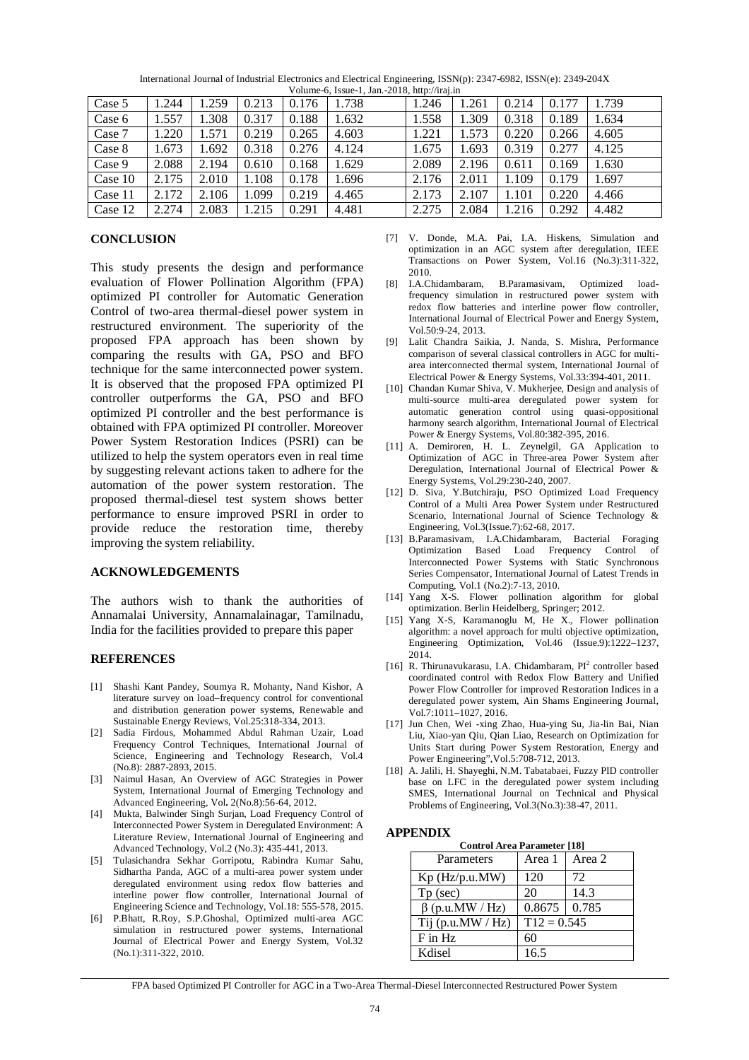| Case 5    | 1.244 | 1.259 | 0.213 | 0.176 | .738  | 1.246 | .261  | 0.214 | 0.177 | .739  |
|-----------|-------|-------|-------|-------|-------|-------|-------|-------|-------|-------|
| Case 6    | 1.557 | 1.308 | 0.317 | 0.188 | 1.632 | 1.558 | .309  | 0.318 | 0.189 | 1.634 |
| Case 7    | 1.220 | .571  | 0.219 | 0.265 | 4.603 | 1.221 | .573  | 0.220 | 0.266 | 4.605 |
| Case 8    | 1.673 | 1.692 | 0.318 | 0.276 | 4.124 | 1.675 | 1.693 | 0.319 | 0.277 | 4.125 |
| Case 9    | 2.088 | 2.194 | 0.610 | 0.168 | .629  | 2.089 | 2.196 | 0.611 | 0.169 | 1.630 |
| Case $10$ | 2.175 | 2.010 | 1.108 | 0.178 | 1.696 | 2.176 | 2.011 | 1.109 | 0.179 | 697   |
| Case 11   | 2.172 | 2.106 | 1.099 | 0.219 | 4.465 | 2.173 | 2.107 | 1.101 | 0.220 | 4.466 |
| Case 12   | 2.274 | 2.083 | 1.215 | 0.291 | 4.481 | 2.275 | 2.084 | 1.216 | 0.292 | 4.482 |

International Journal of Industrial Electronics and Electrical Engineering, ISSN(p): 2347-6982, ISSN(e): 2349-204X Volume-6, Issue-1, Jan.-2018, http://iraj.in

### **CONCLUSION**

This study presents the design and performance evaluation of Flower Pollination Algorithm (FPA) optimized PI controller for Automatic Generation Control of two-area thermal-diesel power system in restructured environment. The superiority of the proposed FPA approach has been shown by comparing the results with GA, PSO and BFO technique for the same interconnected power system. It is observed that the proposed FPA optimized PI controller outperforms the GA, PSO and BFO optimized PI controller and the best performance is obtained with FPA optimized PI controller. Moreover Power System Restoration Indices (PSRI) can be utilized to help the system operators even in real time by suggesting relevant actions taken to adhere for the automation of the power system restoration. The proposed thermal-diesel test system shows better performance to ensure improved PSRI in order to provide reduce the restoration time, thereby improving the system reliability.

#### **ACKNOWLEDGEMENTS**

The authors wish to thank the authorities of Annamalai University, Annamalainagar, Tamilnadu, India for the facilities provided to prepare this paper

#### **REFERENCES**

- [1] Shashi Kant Pandey, Soumya R. Mohanty, Nand Kishor, A literature survey on load–frequency control for conventional and distribution generation power systems, Renewable and Sustainable Energy Reviews, Vol.25:318-334, 2013.
- [2] Sadia Firdous, Mohammed Abdul Rahman Uzair, Load Frequency Control Techniques, International Journal of Science, Engineering and Technology Research, Vol.4 (No.8): 2887-2893, 2015.
- [3] Naimul Hasan, An Overview of AGC Strategies in Power System, International Journal of Emerging Technology and Advanced Engineering, Vol**.** 2(No.8):56-64, 2012.
- [4] Mukta, Balwinder Singh Surjan, Load Frequency Control of Interconnected Power System in Deregulated Environment: A Literature Review, International Journal of Engineering and Advanced Technology, Vol.2 (No.3): 435-441, 2013.
- [5] Tulasichandra Sekhar Gorripotu, Rabindra Kumar Sahu, Sidhartha Panda, AGC of a multi-area power system under deregulated environment using redox flow batteries and interline power flow controller, International Journal of Engineering Science and Technology, Vol.18: 555-578, 2015.
- [6] P.Bhatt, R.Roy, S.P.Ghoshal, Optimized multi-area AGC simulation in restructured power systems, International Journal of Electrical Power and Energy System, Vol.32 (No.1):311-322, 2010.
- [7] V. Donde, M.A. Pai, I.A. Hiskens, Simulation and optimization in an AGC system after deregulation, IEEE Transactions on Power System, Vol.16 (No.3):311-322, 2010.
- [8] I.A.Chidambaram, B.Paramasivam, Optimized loadfrequency simulation in restructured power system with redox flow batteries and interline power flow controller, International Journal of Electrical Power and Energy System, Vol.50:9-24, 2013.
- [9] Lalit Chandra Saikia, J. Nanda, S. Mishra, Performance comparison of several classical controllers in AGC for multiarea interconnected thermal system, International Journal of Electrical Power & Energy Systems, Vol.33:394-401, 2011.
- [10] Chandan Kumar Shiva, V. Mukherjee, Design and analysis of multi-source multi-area deregulated power system for automatic generation control using quasi-oppositional harmony search algorithm, International Journal of Electrical Power & Energy Systems, Vol.80:382-395, 2016.
- [11] A. Demiroren, H. L. Zeynelgil, GA Application to Optimization of AGC in Three-area Power System after Deregulation, International Journal of Electrical Power & Energy Systems, Vol.29:230-240, 2007.
- [12] D. Siva, Y.Butchiraju, PSO Optimized Load Frequency Control of a Multi Area Power System under Restructured Scenario, International Journal of Science Technology & Engineering, Vol.3(Issue.7):62-68, 2017.
- [13] B.Paramasivam, I.A.Chidambaram, Bacterial Foraging Optimization Based Load Frequency Control of Interconnected Power Systems with Static Synchronous Series Compensator, International Journal of Latest Trends in Computing, Vol.1 (No.2):7-13, 2010.
- [14] Yang X-S. Flower pollination algorithm for global optimization. Berlin Heidelberg, Springer; 2012.
- [15] Yang X-S, Karamanoglu M, He X., Flower pollination algorithm: a novel approach for multi objective optimization, Engineering Optimization, Vol.46 (Issue.9):1222–1237, 2014.
- [16] R. Thirunavukarasu, I.A. Chidambaram,  $PI<sup>2</sup>$  controller based coordinated control with Redox Flow Battery and Unified Power Flow Controller for improved Restoration Indices in a deregulated power system, Ain Shams Engineering Journal, Vol.7:1011–1027, 2016.
- [17] Jun Chen, Wei -xing Zhao, Hua-ying Su, Jia-lin Bai, Nian Liu, Xiao-yan Qiu, Qian Liao, Research on Optimization for Units Start during Power System Restoration, Energy and Power Engineering",Vol.5:708-712, 2013.
- [18] A. Jalili, H. Shayeghi, N.M. Tabatabaei, Fuzzy PID controller base on LFC in the deregulated power system including SMES, International Journal on Technical and Physical Problems of Engineering, Vol.3(No.3):38-47, 2011.

### **APPENDIX**

| <b>Control Area Parameter [18]</b> |                 |  |
|------------------------------------|-----------------|--|
| Parameters                         | Area 1   Area 2 |  |
|                                    |                 |  |

| Kp (Hz/p.u.MW)        | 120              | 72   |
|-----------------------|------------------|------|
| $Tp$ (sec)            | 20               | 14.3 |
| $\beta$ (p.u.MW / Hz) | $0.8675$   0.785 |      |
| Tij (p.u.MW / $Hz$ )  | $T12 = 0.545$    |      |
| $F$ in Hz             | 60               |      |
| Kdisel                | 16.5             |      |

FPA based Optimized PI Controller for AGC in a Two-Area Thermal-Diesel Interconnected Restructured Power System